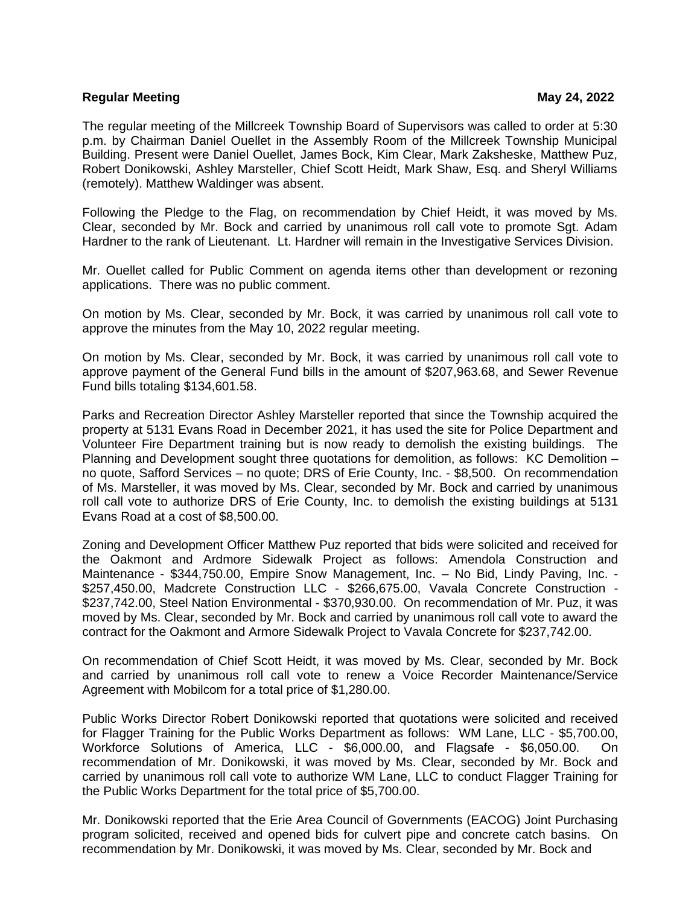## **Regular Meeting May 24, 2022**

The regular meeting of the Millcreek Township Board of Supervisors was called to order at 5:30 p.m. by Chairman Daniel Ouellet in the Assembly Room of the Millcreek Township Municipal Building. Present were Daniel Ouellet, James Bock, Kim Clear, Mark Zaksheske, Matthew Puz, Robert Donikowski, Ashley Marsteller, Chief Scott Heidt, Mark Shaw, Esq. and Sheryl Williams (remotely). Matthew Waldinger was absent.

Following the Pledge to the Flag, on recommendation by Chief Heidt, it was moved by Ms. Clear, seconded by Mr. Bock and carried by unanimous roll call vote to promote Sgt. Adam Hardner to the rank of Lieutenant. Lt. Hardner will remain in the Investigative Services Division.

Mr. Ouellet called for Public Comment on agenda items other than development or rezoning applications. There was no public comment.

On motion by Ms. Clear, seconded by Mr. Bock, it was carried by unanimous roll call vote to approve the minutes from the May 10, 2022 regular meeting.

On motion by Ms. Clear, seconded by Mr. Bock, it was carried by unanimous roll call vote to approve payment of the General Fund bills in the amount of \$207,963.68, and Sewer Revenue Fund bills totaling \$134,601.58.

Parks and Recreation Director Ashley Marsteller reported that since the Township acquired the property at 5131 Evans Road in December 2021, it has used the site for Police Department and Volunteer Fire Department training but is now ready to demolish the existing buildings. The Planning and Development sought three quotations for demolition, as follows: KC Demolition – no quote, Safford Services – no quote; DRS of Erie County, Inc. - \$8,500. On recommendation of Ms. Marsteller, it was moved by Ms. Clear, seconded by Mr. Bock and carried by unanimous roll call vote to authorize DRS of Erie County, Inc. to demolish the existing buildings at 5131 Evans Road at a cost of \$8,500.00.

Zoning and Development Officer Matthew Puz reported that bids were solicited and received for the Oakmont and Ardmore Sidewalk Project as follows: Amendola Construction and Maintenance - \$344,750.00, Empire Snow Management, Inc. – No Bid, Lindy Paving, Inc. - \$257,450.00, Madcrete Construction LLC - \$266,675.00, Vavala Concrete Construction - \$237,742.00, Steel Nation Environmental - \$370,930.00. On recommendation of Mr. Puz, it was moved by Ms. Clear, seconded by Mr. Bock and carried by unanimous roll call vote to award the contract for the Oakmont and Armore Sidewalk Project to Vavala Concrete for \$237,742.00.

On recommendation of Chief Scott Heidt, it was moved by Ms. Clear, seconded by Mr. Bock and carried by unanimous roll call vote to renew a Voice Recorder Maintenance/Service Agreement with Mobilcom for a total price of \$1,280.00.

Public Works Director Robert Donikowski reported that quotations were solicited and received for Flagger Training for the Public Works Department as follows: WM Lane, LLC - \$5,700.00, Workforce Solutions of America, LLC - \$6,000.00, and Flagsafe - \$6,050.00. On recommendation of Mr. Donikowski, it was moved by Ms. Clear, seconded by Mr. Bock and carried by unanimous roll call vote to authorize WM Lane, LLC to conduct Flagger Training for the Public Works Department for the total price of \$5,700.00.

Mr. Donikowski reported that the Erie Area Council of Governments (EACOG) Joint Purchasing program solicited, received and opened bids for culvert pipe and concrete catch basins. On recommendation by Mr. Donikowski, it was moved by Ms. Clear, seconded by Mr. Bock and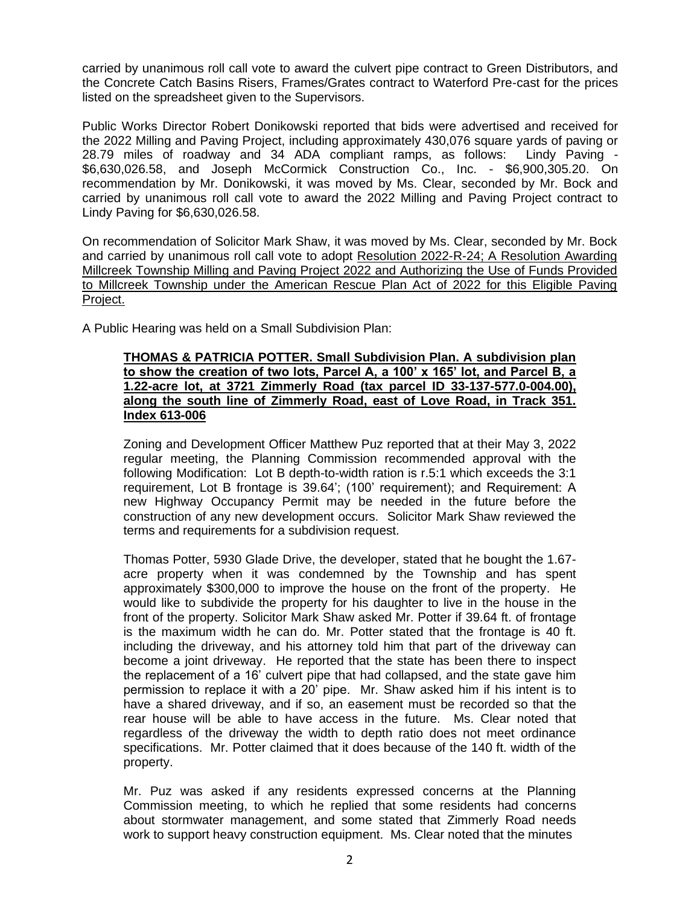carried by unanimous roll call vote to award the culvert pipe contract to Green Distributors, and the Concrete Catch Basins Risers, Frames/Grates contract to Waterford Pre-cast for the prices listed on the spreadsheet given to the Supervisors.

Public Works Director Robert Donikowski reported that bids were advertised and received for the 2022 Milling and Paving Project, including approximately 430,076 square yards of paving or 28.79 miles of roadway and 34 ADA compliant ramps, as follows: Lindy Paving - \$6,630,026.58, and Joseph McCormick Construction Co., Inc. - \$6,900,305.20. On recommendation by Mr. Donikowski, it was moved by Ms. Clear, seconded by Mr. Bock and carried by unanimous roll call vote to award the 2022 Milling and Paving Project contract to Lindy Paving for \$6,630,026.58.

On recommendation of Solicitor Mark Shaw, it was moved by Ms. Clear, seconded by Mr. Bock and carried by unanimous roll call vote to adopt Resolution 2022-R-24; A Resolution Awarding Millcreek Township Milling and Paving Project 2022 and Authorizing the Use of Funds Provided to Millcreek Township under the American Rescue Plan Act of 2022 for this Eligible Paving Project.

A Public Hearing was held on a Small Subdivision Plan:

## **THOMAS & PATRICIA POTTER. Small Subdivision Plan. A subdivision plan to show the creation of two lots, Parcel A, a 100' x 165' lot, and Parcel B, a 1.22-acre lot, at 3721 Zimmerly Road (tax parcel ID 33-137-577.0-004.00), along the south line of Zimmerly Road, east of Love Road, in Track 351. Index 613-006**

Zoning and Development Officer Matthew Puz reported that at their May 3, 2022 regular meeting, the Planning Commission recommended approval with the following Modification: Lot B depth-to-width ration is r.5:1 which exceeds the 3:1 requirement, Lot B frontage is 39.64'; (100' requirement); and Requirement: A new Highway Occupancy Permit may be needed in the future before the construction of any new development occurs. Solicitor Mark Shaw reviewed the terms and requirements for a subdivision request.

Thomas Potter, 5930 Glade Drive, the developer, stated that he bought the 1.67 acre property when it was condemned by the Township and has spent approximately \$300,000 to improve the house on the front of the property. He would like to subdivide the property for his daughter to live in the house in the front of the property. Solicitor Mark Shaw asked Mr. Potter if 39.64 ft. of frontage is the maximum width he can do. Mr. Potter stated that the frontage is 40 ft. including the driveway, and his attorney told him that part of the driveway can become a joint driveway. He reported that the state has been there to inspect the replacement of a 16' culvert pipe that had collapsed, and the state gave him permission to replace it with a 20' pipe. Mr. Shaw asked him if his intent is to have a shared driveway, and if so, an easement must be recorded so that the rear house will be able to have access in the future. Ms. Clear noted that regardless of the driveway the width to depth ratio does not meet ordinance specifications. Mr. Potter claimed that it does because of the 140 ft. width of the property.

Mr. Puz was asked if any residents expressed concerns at the Planning Commission meeting, to which he replied that some residents had concerns about stormwater management, and some stated that Zimmerly Road needs work to support heavy construction equipment. Ms. Clear noted that the minutes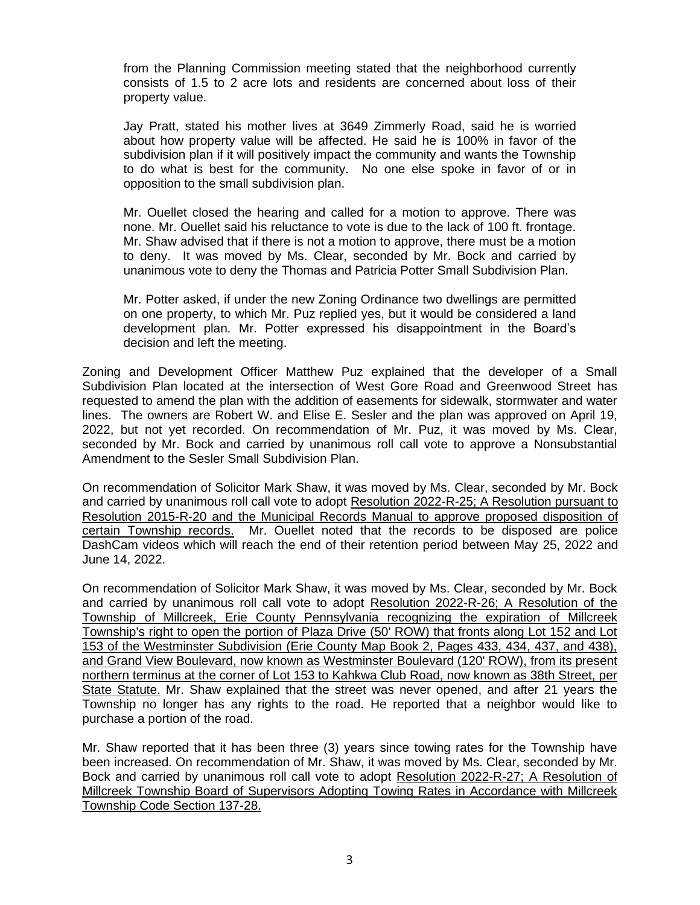from the Planning Commission meeting stated that the neighborhood currently consists of 1.5 to 2 acre lots and residents are concerned about loss of their property value.

Jay Pratt, stated his mother lives at 3649 Zimmerly Road, said he is worried about how property value will be affected. He said he is 100% in favor of the subdivision plan if it will positively impact the community and wants the Township to do what is best for the community. No one else spoke in favor of or in opposition to the small subdivision plan.

Mr. Ouellet closed the hearing and called for a motion to approve. There was none. Mr. Ouellet said his reluctance to vote is due to the lack of 100 ft. frontage. Mr. Shaw advised that if there is not a motion to approve, there must be a motion to deny. It was moved by Ms. Clear, seconded by Mr. Bock and carried by unanimous vote to deny the Thomas and Patricia Potter Small Subdivision Plan.

Mr. Potter asked, if under the new Zoning Ordinance two dwellings are permitted on one property, to which Mr. Puz replied yes, but it would be considered a land development plan. Mr. Potter expressed his disappointment in the Board's decision and left the meeting.

Zoning and Development Officer Matthew Puz explained that the developer of a Small Subdivision Plan located at the intersection of West Gore Road and Greenwood Street has requested to amend the plan with the addition of easements for sidewalk, stormwater and water lines. The owners are Robert W. and Elise E. Sesler and the plan was approved on April 19, 2022, but not yet recorded. On recommendation of Mr. Puz, it was moved by Ms. Clear, seconded by Mr. Bock and carried by unanimous roll call vote to approve a Nonsubstantial Amendment to the Sesler Small Subdivision Plan.

On recommendation of Solicitor Mark Shaw, it was moved by Ms. Clear, seconded by Mr. Bock and carried by unanimous roll call vote to adopt Resolution 2022-R-25; A Resolution pursuant to Resolution 2015-R-20 and the Municipal Records Manual to approve proposed disposition of certain Township records. Mr. Ouellet noted that the records to be disposed are police DashCam videos which will reach the end of their retention period between May 25, 2022 and June 14, 2022.

On recommendation of Solicitor Mark Shaw, it was moved by Ms. Clear, seconded by Mr. Bock and carried by unanimous roll call vote to adopt Resolution 2022-R-26; A Resolution of the Township of Millcreek, Erie County Pennsylvania recognizing the expiration of Millcreek Township's right to open the portion of Plaza Drive (50' ROW) that fronts along Lot 152 and Lot 153 of the Westminster Subdivision (Erie County Map Book 2, Pages 433, 434, 437, and 438), and Grand View Boulevard, now known as Westminster Boulevard (120' ROW), from its present northern terminus at the corner of Lot 153 to Kahkwa Club Road, now known as 38th Street, per State Statute. Mr. Shaw explained that the street was never opened, and after 21 years the Township no longer has any rights to the road. He reported that a neighbor would like to purchase a portion of the road.

Mr. Shaw reported that it has been three (3) years since towing rates for the Township have been increased. On recommendation of Mr. Shaw, it was moved by Ms. Clear, seconded by Mr. Bock and carried by unanimous roll call vote to adopt Resolution 2022-R-27; A Resolution of Millcreek Township Board of Supervisors Adopting Towing Rates in Accordance with Millcreek Township Code Section 137-28.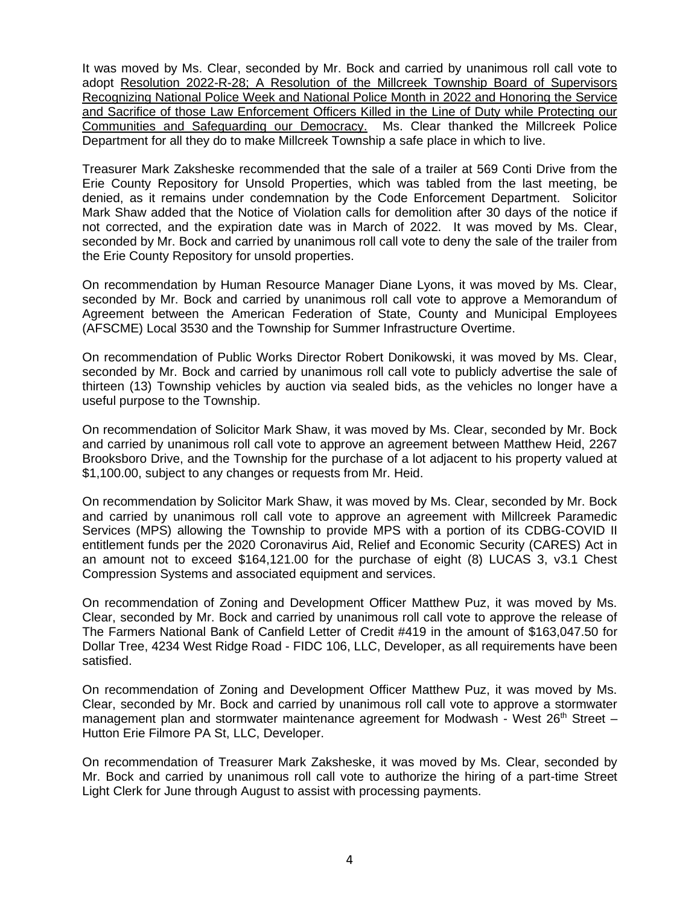It was moved by Ms. Clear, seconded by Mr. Bock and carried by unanimous roll call vote to adopt Resolution 2022-R-28; A Resolution of the Millcreek Township Board of Supervisors Recognizing National Police Week and National Police Month in 2022 and Honoring the Service and Sacrifice of those Law Enforcement Officers Killed in the Line of Duty while Protecting our Communities and Safeguarding our Democracy. Ms. Clear thanked the Millcreek Police Department for all they do to make Millcreek Township a safe place in which to live.

Treasurer Mark Zaksheske recommended that the sale of a trailer at 569 Conti Drive from the Erie County Repository for Unsold Properties, which was tabled from the last meeting, be denied, as it remains under condemnation by the Code Enforcement Department. Solicitor Mark Shaw added that the Notice of Violation calls for demolition after 30 days of the notice if not corrected, and the expiration date was in March of 2022. It was moved by Ms. Clear, seconded by Mr. Bock and carried by unanimous roll call vote to deny the sale of the trailer from the Erie County Repository for unsold properties.

On recommendation by Human Resource Manager Diane Lyons, it was moved by Ms. Clear, seconded by Mr. Bock and carried by unanimous roll call vote to approve a Memorandum of Agreement between the American Federation of State, County and Municipal Employees (AFSCME) Local 3530 and the Township for Summer Infrastructure Overtime.

On recommendation of Public Works Director Robert Donikowski, it was moved by Ms. Clear, seconded by Mr. Bock and carried by unanimous roll call vote to publicly advertise the sale of thirteen (13) Township vehicles by auction via sealed bids, as the vehicles no longer have a useful purpose to the Township.

On recommendation of Solicitor Mark Shaw, it was moved by Ms. Clear, seconded by Mr. Bock and carried by unanimous roll call vote to approve an agreement between Matthew Heid, 2267 Brooksboro Drive, and the Township for the purchase of a lot adjacent to his property valued at \$1,100.00, subject to any changes or requests from Mr. Heid.

On recommendation by Solicitor Mark Shaw, it was moved by Ms. Clear, seconded by Mr. Bock and carried by unanimous roll call vote to approve an agreement with Millcreek Paramedic Services (MPS) allowing the Township to provide MPS with a portion of its CDBG-COVID II entitlement funds per the 2020 Coronavirus Aid, Relief and Economic Security (CARES) Act in an amount not to exceed \$164,121.00 for the purchase of eight (8) LUCAS 3, v3.1 Chest Compression Systems and associated equipment and services.

On recommendation of Zoning and Development Officer Matthew Puz, it was moved by Ms. Clear, seconded by Mr. Bock and carried by unanimous roll call vote to approve the release of The Farmers National Bank of Canfield Letter of Credit #419 in the amount of \$163,047.50 for Dollar Tree, 4234 West Ridge Road - FIDC 106, LLC, Developer, as all requirements have been satisfied.

On recommendation of Zoning and Development Officer Matthew Puz, it was moved by Ms. Clear, seconded by Mr. Bock and carried by unanimous roll call vote to approve a stormwater management plan and stormwater maintenance agreement for Modwash - West  $26<sup>th</sup>$  Street – Hutton Erie Filmore PA St, LLC, Developer.

On recommendation of Treasurer Mark Zaksheske, it was moved by Ms. Clear, seconded by Mr. Bock and carried by unanimous roll call vote to authorize the hiring of a part-time Street Light Clerk for June through August to assist with processing payments.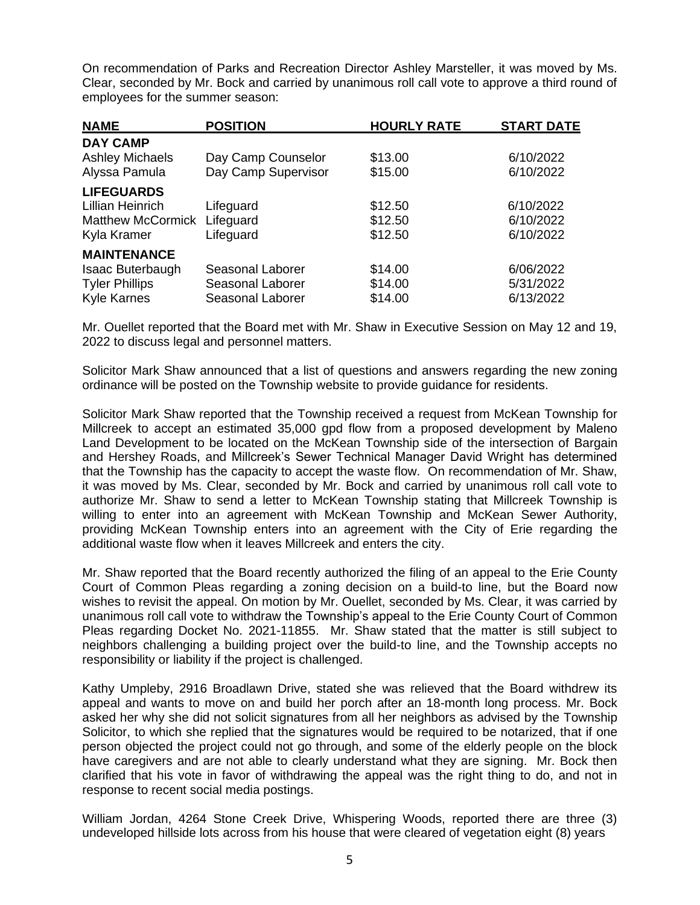On recommendation of Parks and Recreation Director Ashley Marsteller, it was moved by Ms. Clear, seconded by Mr. Bock and carried by unanimous roll call vote to approve a third round of employees for the summer season:

| <b>NAME</b>              | <b>POSITION</b>     | <b>HOURLY RATE</b> | <b>START DATE</b> |
|--------------------------|---------------------|--------------------|-------------------|
| <b>DAY CAMP</b>          |                     |                    |                   |
| <b>Ashley Michaels</b>   | Day Camp Counselor  | \$13.00            | 6/10/2022         |
| Alyssa Pamula            | Day Camp Supervisor | \$15.00            | 6/10/2022         |
| <b>LIFEGUARDS</b>        |                     |                    |                   |
| Lillian Heinrich         | Lifeguard           | \$12.50            | 6/10/2022         |
| <b>Matthew McCormick</b> | Lifeguard           | \$12.50            | 6/10/2022         |
| Kyla Kramer              | Lifeguard           | \$12.50            | 6/10/2022         |
| <b>MAINTENANCE</b>       |                     |                    |                   |
| Isaac Buterbaugh         | Seasonal Laborer    | \$14.00            | 6/06/2022         |
| <b>Tyler Phillips</b>    | Seasonal Laborer    | \$14.00            | 5/31/2022         |
| <b>Kyle Karnes</b>       | Seasonal Laborer    | \$14.00            | 6/13/2022         |

Mr. Ouellet reported that the Board met with Mr. Shaw in Executive Session on May 12 and 19, 2022 to discuss legal and personnel matters.

Solicitor Mark Shaw announced that a list of questions and answers regarding the new zoning ordinance will be posted on the Township website to provide guidance for residents.

Solicitor Mark Shaw reported that the Township received a request from McKean Township for Millcreek to accept an estimated 35,000 gpd flow from a proposed development by Maleno Land Development to be located on the McKean Township side of the intersection of Bargain and Hershey Roads, and Millcreek's Sewer Technical Manager David Wright has determined that the Township has the capacity to accept the waste flow. On recommendation of Mr. Shaw, it was moved by Ms. Clear, seconded by Mr. Bock and carried by unanimous roll call vote to authorize Mr. Shaw to send a letter to McKean Township stating that Millcreek Township is willing to enter into an agreement with McKean Township and McKean Sewer Authority, providing McKean Township enters into an agreement with the City of Erie regarding the additional waste flow when it leaves Millcreek and enters the city.

Mr. Shaw reported that the Board recently authorized the filing of an appeal to the Erie County Court of Common Pleas regarding a zoning decision on a build-to line, but the Board now wishes to revisit the appeal. On motion by Mr. Ouellet, seconded by Ms. Clear, it was carried by unanimous roll call vote to withdraw the Township's appeal to the Erie County Court of Common Pleas regarding Docket No. 2021-11855. Mr. Shaw stated that the matter is still subject to neighbors challenging a building project over the build-to line, and the Township accepts no responsibility or liability if the project is challenged.

Kathy Umpleby, 2916 Broadlawn Drive, stated she was relieved that the Board withdrew its appeal and wants to move on and build her porch after an 18-month long process. Mr. Bock asked her why she did not solicit signatures from all her neighbors as advised by the Township Solicitor, to which she replied that the signatures would be required to be notarized, that if one person objected the project could not go through, and some of the elderly people on the block have caregivers and are not able to clearly understand what they are signing. Mr. Bock then clarified that his vote in favor of withdrawing the appeal was the right thing to do, and not in response to recent social media postings.

William Jordan, 4264 Stone Creek Drive, Whispering Woods, reported there are three (3) undeveloped hillside lots across from his house that were cleared of vegetation eight (8) years